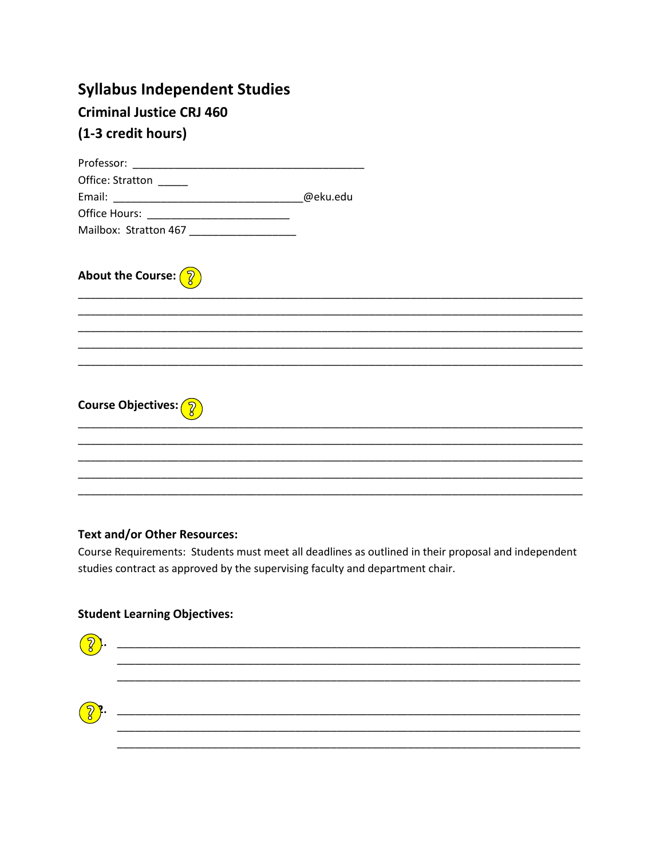# **Syllabus Independent Studies Criminal Justice CRJ 460** (1-3 credit hours)

| Office: Stratton _____                      |          |  |
|---------------------------------------------|----------|--|
|                                             | @eku.edu |  |
| Office Hours: _____________________________ |          |  |
| Mailbox: Stratton 467 ___________________   |          |  |
|                                             |          |  |
| About the Course: $\left(\sqrt{2}\right)$   |          |  |
|                                             |          |  |
|                                             |          |  |
|                                             |          |  |
|                                             |          |  |
|                                             |          |  |
|                                             |          |  |
| <b>Course Objectives:</b> 2                 |          |  |
|                                             |          |  |
|                                             |          |  |
|                                             |          |  |
|                                             |          |  |
|                                             |          |  |

# **Text and/or Other Resources:**

Course Requirements: Students must meet all deadlines as outlined in their proposal and independent studies contract as approved by the supervising faculty and department chair.

# **Student Learning Objectives:**

| $\left\{ \widehat{\mathcal{C}}\right\}$ . |  |
|-------------------------------------------|--|
|                                           |  |
| $\bigotimes$ .                            |  |
|                                           |  |